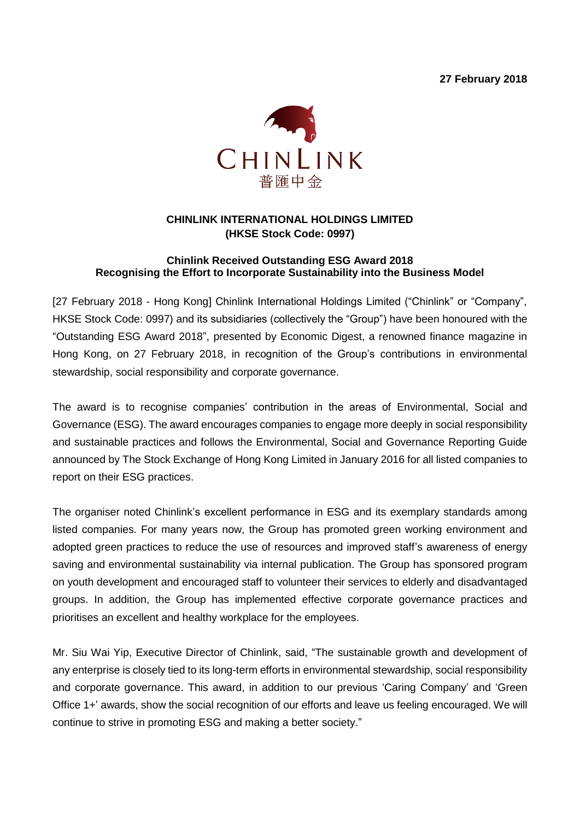**27 February 2018**



## **CHINLINK INTERNATIONAL HOLDINGS LIMITED (HKSE Stock Code: 0997)**

## **Chinlink Received Outstanding ESG Award 2018 Recognising the Effort to Incorporate Sustainability into the Business Model**

[27 February 2018 - Hong Kong] Chinlink International Holdings Limited ("Chinlink" or "Company", HKSE Stock Code: 0997) and its subsidiaries (collectively the "Group") have been honoured with the "Outstanding ESG Award 2018", presented by Economic Digest, a renowned finance magazine in Hong Kong, on 27 February 2018, in recognition of the Group's contributions in environmental stewardship, social responsibility and corporate governance.

The award is to recognise companies' contribution in the areas of Environmental, Social and Governance (ESG). The award encourages companies to engage more deeply in social responsibility and sustainable practices and follows the Environmental, Social and Governance Reporting Guide announced by The Stock Exchange of Hong Kong Limited in January 2016 for all listed companies to report on their ESG practices.

The organiser noted Chinlink's excellent performance in ESG and its exemplary standards among listed companies. For many years now, the Group has promoted green working environment and adopted green practices to reduce the use of resources and improved staff's awareness of energy saving and environmental sustainability via internal publication. The Group has sponsored program on youth development and encouraged staff to volunteer their services to elderly and disadvantaged groups. In addition, the Group has implemented effective corporate governance practices and prioritises an excellent and healthy workplace for the employees.

Mr. Siu Wai Yip, Executive Director of Chinlink, said, "The sustainable growth and development of any enterprise is closely tied to its long-term efforts in environmental stewardship, social responsibility and corporate governance. This award, in addition to our previous 'Caring Company' and 'Green Office 1+' awards, show the social recognition of our efforts and leave us feeling encouraged. We will continue to strive in promoting ESG and making a better society."